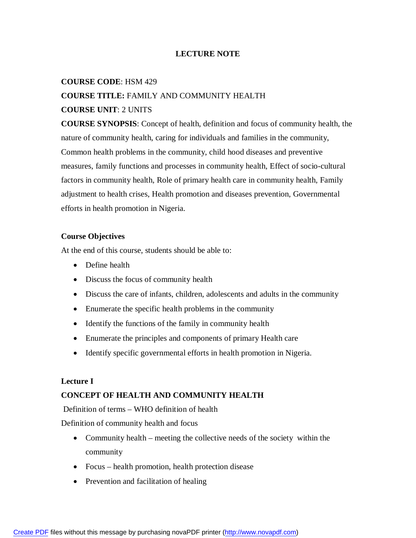## **LECTURE NOTE**

#### **COURSE CODE**: HSM 429

## **COURSE TITLE:** FAMILY AND COMMUNITY HEALTH

#### **COURSE UNIT**: 2 UNITS

**COURSE SYNOPSIS**: Concept of health, definition and focus of community health, the nature of community health, caring for individuals and families in the community, Common health problems in the community, child hood diseases and preventive measures, family functions and processes in community health, Effect of socio-cultural factors in community health, Role of primary health care in community health, Family adjustment to health crises, Health promotion and diseases prevention, Governmental efforts in health promotion in Nigeria.

#### **Course Objectives**

At the end of this course, students should be able to:

- Define health
- Discuss the focus of community health
- Discuss the care of infants, children, adolescents and adults in the community
- Enumerate the specific health problems in the community
- Identify the functions of the family in community health
- Enumerate the principles and components of primary Health care
- Identify specific governmental efforts in health promotion in Nigeria.

#### **Lecture I**

#### **CONCEPT OF HEALTH AND COMMUNITY HEALTH**

Definition of terms – WHO definition of health

Definition of community health and focus

- Community health meeting the collective needs of the society within the community
- Focus health promotion, health protection disease
- Prevention and facilitation of healing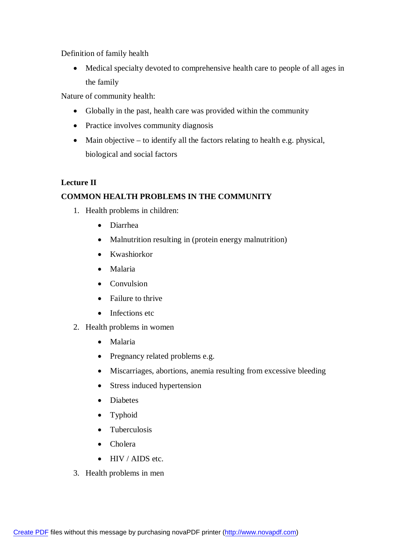Definition of family health

 Medical specialty devoted to comprehensive health care to people of all ages in the family

Nature of community health:

- Globally in the past, health care was provided within the community
- Practice involves community diagnosis
- Main objective to identify all the factors relating to health e.g. physical, biological and social factors

# **Lecture II COMMON HEALTH PROBLEMS IN THE COMMUNITY**

- 1. Health problems in children:
	- Diarrhea
	- Malnutrition resulting in (protein energy malnutrition)
	- Kwashiorkor
	- Malaria
	- Convulsion
	- Failure to thrive
	- Infections etc
- 2. Health problems in women
	- Malaria
	- Pregnancy related problems e.g.
	- Miscarriages, abortions, anemia resulting from excessive bleeding
	- Stress induced hypertension
	- Diabetes
	- Typhoid
	- Tuberculosis
	- Cholera
	- HIV / AIDS etc.
- 3. Health problems in men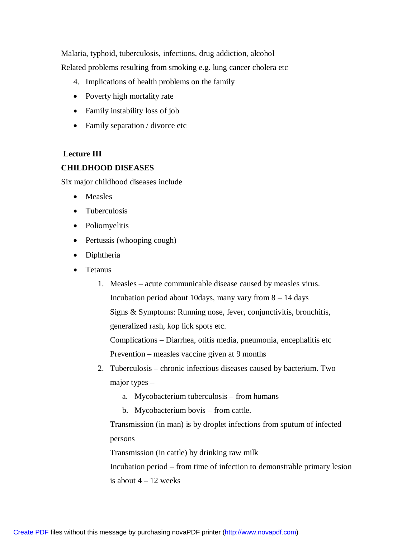Malaria, typhoid, tuberculosis, infections, drug addiction, alcohol Related problems resulting from smoking e.g. lung cancer cholera etc

- 4. Implications of health problems on the family
- Poverty high mortality rate
- Family instability loss of job
- Family separation / divorce etc

## **Lecture III**

## **CHILDHOOD DISEASES**

Six major childhood diseases include

- Measles
- Tuberculosis
- Poliomyelitis
- Pertussis (whooping cough)
- Diphtheria
- Tetanus
	- 1. Measles acute communicable disease caused by measles virus. Incubation period about 10 days, many vary from  $8 - 14$  days Signs & Symptoms: Running nose, fever, conjunctivitis, bronchitis, generalized rash, kop lick spots etc.

Complications – Diarrhea, otitis media, pneumonia, encephalitis etc Prevention – measles vaccine given at 9 months

- 2. Tuberculosis chronic infectious diseases caused by bacterium. Two major types –
	- a. Mycobacterium tuberculosis from humans
	- b. Mycobacterium bovis from cattle.

Transmission (in man) is by droplet infections from sputum of infected persons

Transmission (in cattle) by drinking raw milk

Incubation period – from time of infection to demonstrable primary lesion is about  $4 - 12$  weeks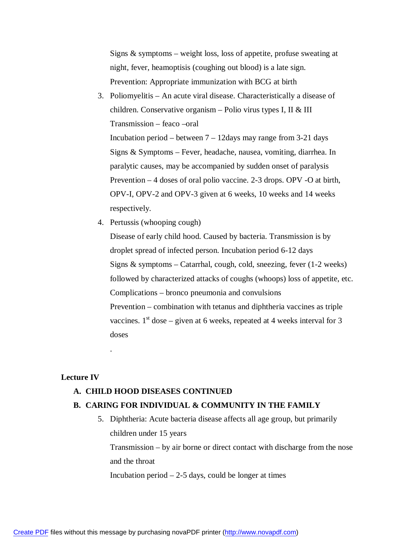Signs  $\&$  symptoms – weight loss, loss of appetite, profuse sweating at night, fever, heamoptisis (coughing out blood) is a late sign. Prevention: Appropriate immunization with BCG at birth

- 3. Poliomyelitis An acute viral disease. Characteristically a disease of children. Conservative organism – Polio virus types I, II & III Transmission – feaco –oral Incubation period – between  $7 - 12$ days may range from 3-21 days Signs & Symptoms – Fever, headache, nausea, vomiting, diarrhea. In paralytic causes, may be accompanied by sudden onset of paralysis Prevention – 4 doses of oral polio vaccine. 2-3 drops. OPV -O at birth, OPV-I, OPV-2 and OPV-3 given at 6 weeks, 10 weeks and 14 weeks respectively.
- 4. Pertussis (whooping cough)

Disease of early child hood. Caused by bacteria. Transmission is by droplet spread of infected person. Incubation period 6-12 days Signs & symptoms – Catarrhal, cough, cold, sneezing, fever (1-2 weeks) followed by characterized attacks of coughs (whoops) loss of appetite, etc. Complications – bronco pneumonia and convulsions Prevention – combination with tetanus and diphtheria vaccines as triple vaccines.  $1<sup>st</sup>$  dose – given at 6 weeks, repeated at 4 weeks interval for 3 doses

#### **Lecture IV**

.

#### **A. CHILD HOOD DISEASES CONTINUED**

#### **B. CARING FOR INDIVIDUAL & COMMUNITY IN THE FAMILY**

5. Diphtheria: Acute bacteria disease affects all age group, but primarily children under 15 years

Transmission – by air borne or direct contact with discharge from the nose and the throat

Incubation period  $-2-5$  days, could be longer at times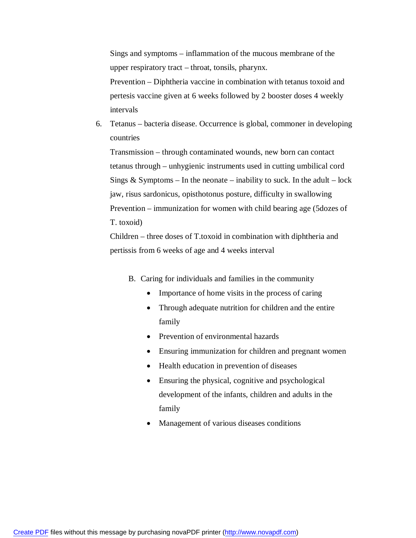Sings and symptoms – inflammation of the mucous membrane of the upper respiratory tract – throat, tonsils, pharynx.

Prevention – Diphtheria vaccine in combination with tetanus toxoid and pertesis vaccine given at 6 weeks followed by 2 booster doses 4 weekly intervals

6. Tetanus – bacteria disease. Occurrence is global, commoner in developing countries

Transmission – through contaminated wounds, new born can contact tetanus through – unhygienic instruments used in cutting umbilical cord Sings  $&$  Symptoms – In the neonate – inability to suck. In the adult – lock jaw, risus sardonicus, opisthotonus posture, difficulty in swallowing Prevention – immunization for women with child bearing age (5dozes of T. toxoid)

Children – three doses of T.toxoid in combination with diphtheria and pertissis from 6 weeks of age and 4 weeks interval

- B. Caring for individuals and families in the community
	- Importance of home visits in the process of caring
	- Through adequate nutrition for children and the entire family
	- Prevention of environmental hazards
	- Ensuring immunization for children and pregnant women
	- Health education in prevention of diseases
	- Ensuring the physical, cognitive and psychological development of the infants, children and adults in the family
	- Management of various diseases conditions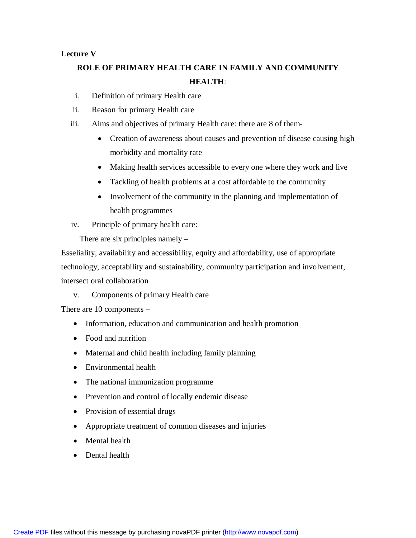## **Lecture V**

# **ROLE OF PRIMARY HEALTH CARE IN FAMILY AND COMMUNITY HEALTH**:

- i. Definition of primary Health care
- ii. Reason for primary Health care
- iii. Aims and objectives of primary Health care: there are 8 of them-
	- Creation of awareness about causes and prevention of disease causing high morbidity and mortality rate
	- Making health services accessible to every one where they work and live
	- Tackling of health problems at a cost affordable to the community
	- Involvement of the community in the planning and implementation of health programmes
- iv. Principle of primary health care:

There are six principles namely –

Esseliality, availability and accessibility, equity and affordability, use of appropriate technology, acceptability and sustainability, community participation and involvement, intersect oral collaboration

v. Components of primary Health care

There are 10 components –

- Information, education and communication and health promotion
- Food and nutrition
- Maternal and child health including family planning
- Environmental health
- The national immunization programme
- Prevention and control of locally endemic disease
- Provision of essential drugs
- Appropriate treatment of common diseases and injuries
- Mental health
- Dental health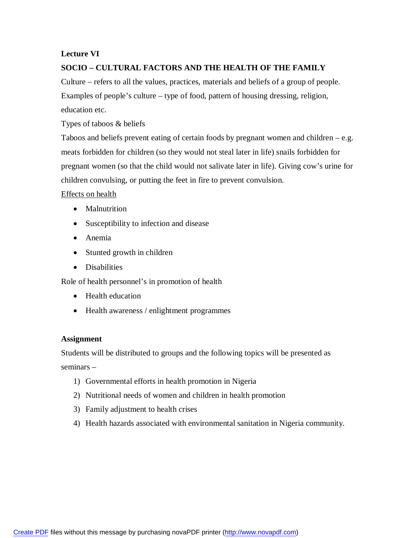## **Lecture VI**

# **SOCIO – CULTURAL FACTORS AND THE HEALTH OF THE FAMILY**

Culture – refers to all the values, practices, materials and beliefs of a group of people. Examples of people's culture – type of food, pattern of housing dressing, religion, education etc.

Types of taboos & beliefs

Taboos and beliefs prevent eating of certain foods by pregnant women and children  $-e.g.$ meats forbidden for children (so they would not steal later in life) snails forbidden for pregnant women (so that the child would not salivate later in life). Giving cow's urine for children convulsing, or putting the feet in fire to prevent convulsion.

Effects on health

- Malnutrition
- Susceptibility to infection and disease
- Anemia
- Stunted growth in children
- Disabilities

Role of health personnel's in promotion of health

- Health education
- Health awareness / enlightment programmes

## **Assignment**

Students will be distributed to groups and the following topics will be presented as seminars –

- 1) Governmental efforts in health promotion in Nigeria
- 2) Nutritional needs of women and children in health promotion
- 3) Family adjustment to health crises
- 4) Health hazards associated with environmental sanitation in Nigeria community.